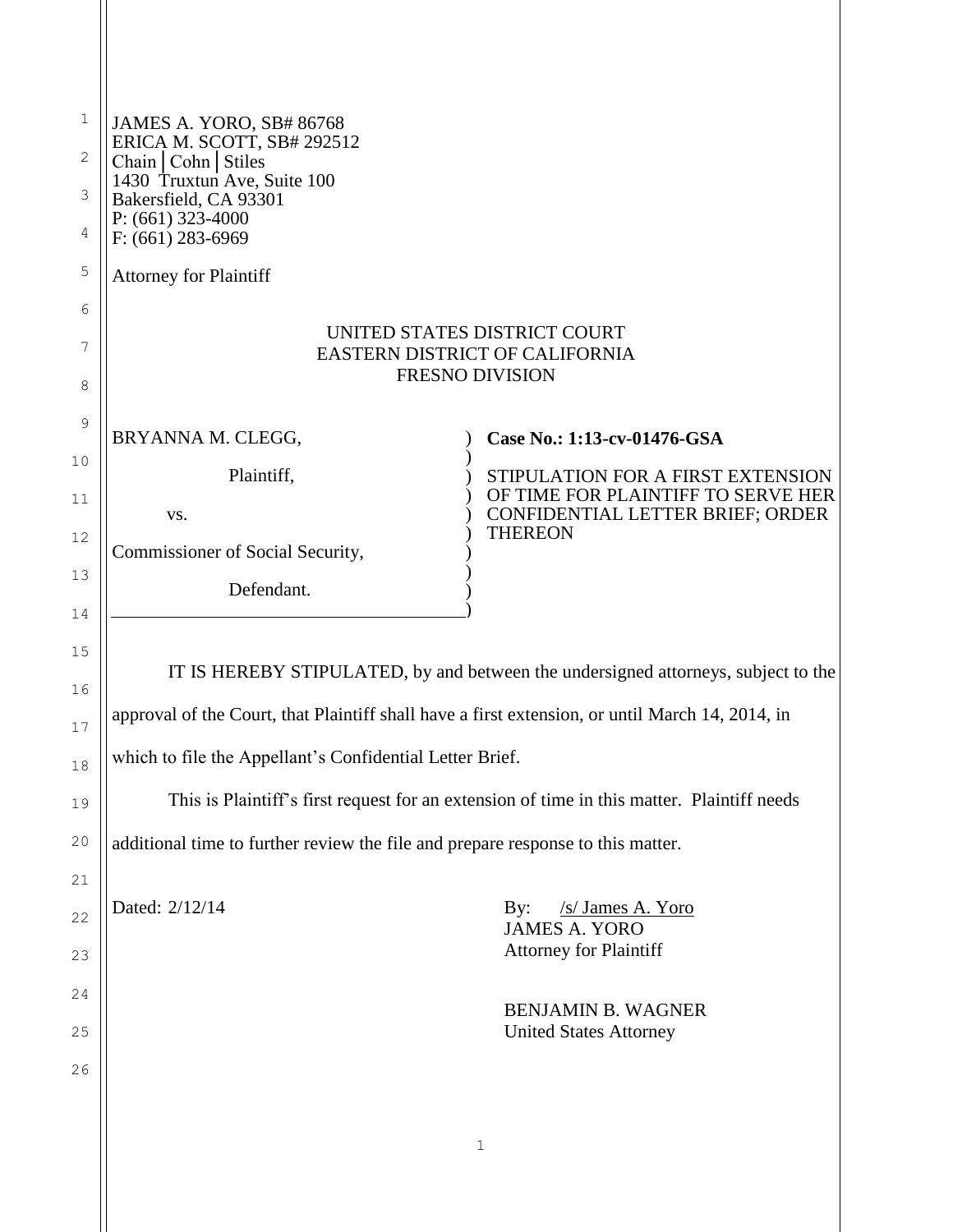| $\mathbf 1$<br>2<br>3<br>4 | JAMES A. YORO, SB# 86768<br>ERICA M. SCOTT, SB# 292512<br>Chain   Cohn   Stiles<br>1430 Truxtun Ave, Suite 100<br>Bakersfield, CA 93301<br>$P: (661)$ 323-4000<br>$F: (661)$ 283-6969 |                                                                                                             |  |
|----------------------------|---------------------------------------------------------------------------------------------------------------------------------------------------------------------------------------|-------------------------------------------------------------------------------------------------------------|--|
| 5                          | <b>Attorney for Plaintiff</b>                                                                                                                                                         |                                                                                                             |  |
| 6<br>7<br>8                | UNITED STATES DISTRICT COURT<br>EASTERN DISTRICT OF CALIFORNIA<br><b>FRESNO DIVISION</b>                                                                                              |                                                                                                             |  |
| 9                          | BRYANNA M. CLEGG,                                                                                                                                                                     | Case No.: 1:13-cv-01476-GSA                                                                                 |  |
| 10<br>11                   | Plaintiff,<br>VS.                                                                                                                                                                     | STIPULATION FOR A FIRST EXTENSION<br>OF TIME FOR PLAINTIFF TO SERVE HER<br>CONFIDENTIAL LETTER BRIEF; ORDER |  |
| 12                         | Commissioner of Social Security,                                                                                                                                                      | <b>THEREON</b>                                                                                              |  |
| 13<br>14                   | Defendant.                                                                                                                                                                            |                                                                                                             |  |
| 15<br>16                   | IT IS HEREBY STIPULATED, by and between the undersigned attorneys, subject to the<br>approval of the Court, that Plaintiff shall have a first extension, or until March 14, 2014, in  |                                                                                                             |  |
| 17                         | which to file the Appellant's Confidential Letter Brief.                                                                                                                              |                                                                                                             |  |
| 18<br>19                   | This is Plaintiff's first request for an extension of time in this matter. Plaintiff needs                                                                                            |                                                                                                             |  |
| 20                         | additional time to further review the file and prepare response to this matter.                                                                                                       |                                                                                                             |  |
| 21                         | Dated: 2/12/14                                                                                                                                                                        | /s/ James A. Yoro<br>$\mathbf{By:}$                                                                         |  |
| 22<br>23                   |                                                                                                                                                                                       | <b>JAMES A. YORO</b><br><b>Attorney for Plaintiff</b>                                                       |  |
| 24                         |                                                                                                                                                                                       | <b>BENJAMIN B. WAGNER</b>                                                                                   |  |
| 25                         |                                                                                                                                                                                       | <b>United States Attorney</b>                                                                               |  |
| 26                         |                                                                                                                                                                                       |                                                                                                             |  |
|                            |                                                                                                                                                                                       | 1                                                                                                           |  |